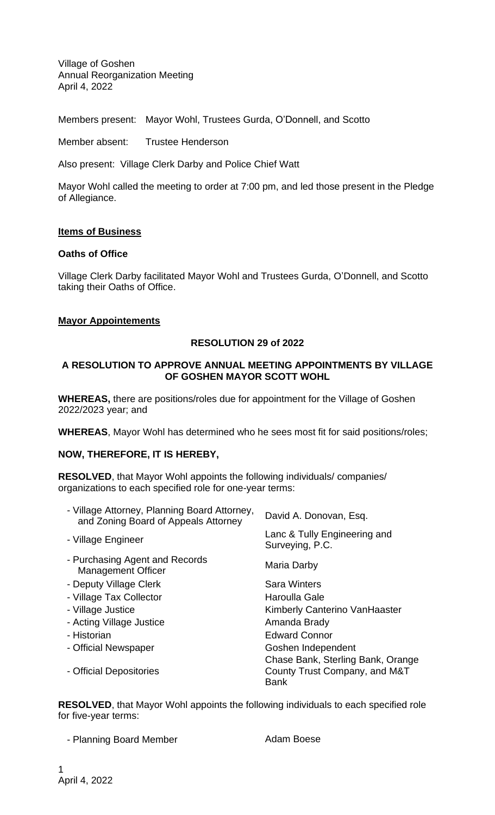Village of Goshen Annual Reorganization Meeting April 4, 2022

Members present: Mayor Wohl, Trustees Gurda, O'Donnell, and Scotto

Member absent: Trustee Henderson

Also present: Village Clerk Darby and Police Chief Watt

Mayor Wohl called the meeting to order at 7:00 pm, and led those present in the Pledge of Allegiance.

## **Items of Business**

#### **Oaths of Office**

Village Clerk Darby facilitated Mayor Wohl and Trustees Gurda, O'Donnell, and Scotto taking their Oaths of Office.

## **Mayor Appointements**

# **RESOLUTION 29 of 2022**

### **A RESOLUTION TO APPROVE ANNUAL MEETING APPOINTMENTS BY VILLAGE OF GOSHEN MAYOR SCOTT WOHL**

**WHEREAS,** there are positions/roles due for appointment for the Village of Goshen 2022/2023 year; and

**WHEREAS**, Mayor Wohl has determined who he sees most fit for said positions/roles;

# **NOW, THEREFORE, IT IS HEREBY,**

**RESOLVED**, that Mayor Wohl appoints the following individuals/ companies/ organizations to each specified role for one-year terms:

| - Village Attorney, Planning Board Attorney,<br>and Zoning Board of Appeals Attorney | David A. Donovan, Esq.                          |
|--------------------------------------------------------------------------------------|-------------------------------------------------|
| - Village Engineer                                                                   | Lanc & Tully Engineering and<br>Surveying, P.C. |
| - Purchasing Agent and Records<br><b>Management Officer</b>                          | Maria Darby                                     |
| - Deputy Village Clerk                                                               | <b>Sara Winters</b>                             |
| - Village Tax Collector                                                              | Haroulla Gale                                   |
| - Village Justice                                                                    | <b>Kimberly Canterino Van Haaster</b>           |
| - Acting Village Justice                                                             | Amanda Brady                                    |
| - Historian                                                                          | <b>Edward Connor</b>                            |
| - Official Newspaper                                                                 | Goshen Independent                              |
|                                                                                      | Chase Bank, Sterling Bank, Orange               |
| - Official Depositories                                                              | County Trust Company, and M&T<br><b>Bank</b>    |

**RESOLVED**, that Mayor Wohl appoints the following individuals to each specified role for five-year terms:

- Planning Board Member **Adam Boese** Adam Boese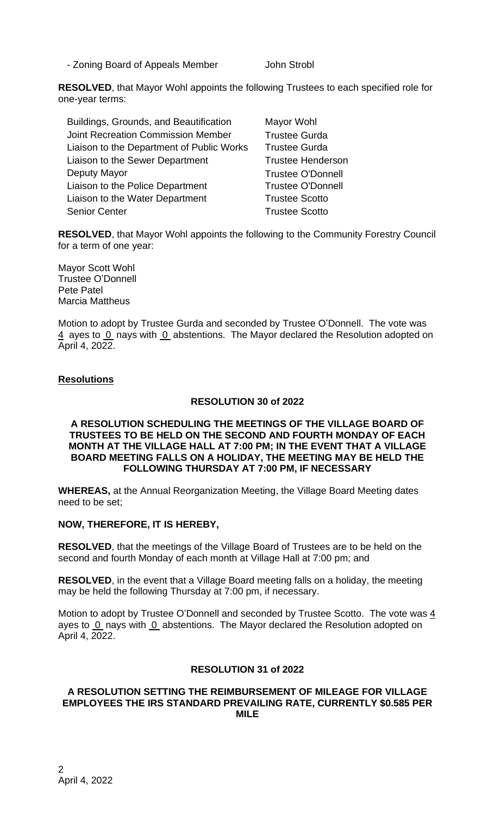- Zoning Board of Appeals Member John Strobl

**RESOLVED**, that Mayor Wohl appoints the following Trustees to each specified role for one-year terms:

| Buildings, Grounds, and Beautification    | Mayor Wohl               |
|-------------------------------------------|--------------------------|
| <b>Joint Recreation Commission Member</b> | <b>Trustee Gurda</b>     |
| Liaison to the Department of Public Works | <b>Trustee Gurda</b>     |
| Liaison to the Sewer Department           | <b>Trustee Henderson</b> |
| Deputy Mayor                              | <b>Trustee O'Donnell</b> |
| Liaison to the Police Department          | <b>Trustee O'Donnell</b> |
| Liaison to the Water Department           | <b>Trustee Scotto</b>    |
| <b>Senior Center</b>                      | <b>Trustee Scotto</b>    |

**RESOLVED**, that Mayor Wohl appoints the following to the Community Forestry Council for a term of one year:

Mayor Scott Wohl Trustee O'Donnell Pete Patel Marcia Mattheus

Motion to adopt by Trustee Gurda and seconded by Trustee O'Donnell. The vote was  $\frac{4}{1}$  ayes to 0 nays with 0 abstentions. The Mayor declared the Resolution adopted on April 4, 2022.

# **Resolutions**

## **RESOLUTION 30 of 2022**

### **A RESOLUTION SCHEDULING THE MEETINGS OF THE VILLAGE BOARD OF TRUSTEES TO BE HELD ON THE SECOND AND FOURTH MONDAY OF EACH MONTH AT THE VILLAGE HALL AT 7:00 PM; IN THE EVENT THAT A VILLAGE BOARD MEETING FALLS ON A HOLIDAY, THE MEETING MAY BE HELD THE FOLLOWING THURSDAY AT 7:00 PM, IF NECESSARY**

**WHEREAS,** at the Annual Reorganization Meeting, the Village Board Meeting dates need to be set;

# **NOW, THEREFORE, IT IS HEREBY,**

**RESOLVED**, that the meetings of the Village Board of Trustees are to be held on the second and fourth Monday of each month at Village Hall at 7:00 pm; and

**RESOLVED**, in the event that a Village Board meeting falls on a holiday, the meeting may be held the following Thursday at 7:00 pm, if necessary.

Motion to adopt by Trustee O'Donnell and seconded by Trustee Scotto. The vote was 4 ayes to  $0$  nays with  $0$  abstentions. The Mayor declared the Resolution adopted on April 4, 2022.

### **RESOLUTION 31 of 2022**

#### **A RESOLUTION SETTING THE REIMBURSEMENT OF MILEAGE FOR VILLAGE EMPLOYEES THE IRS STANDARD PREVAILING RATE, CURRENTLY \$0.585 PER MILE**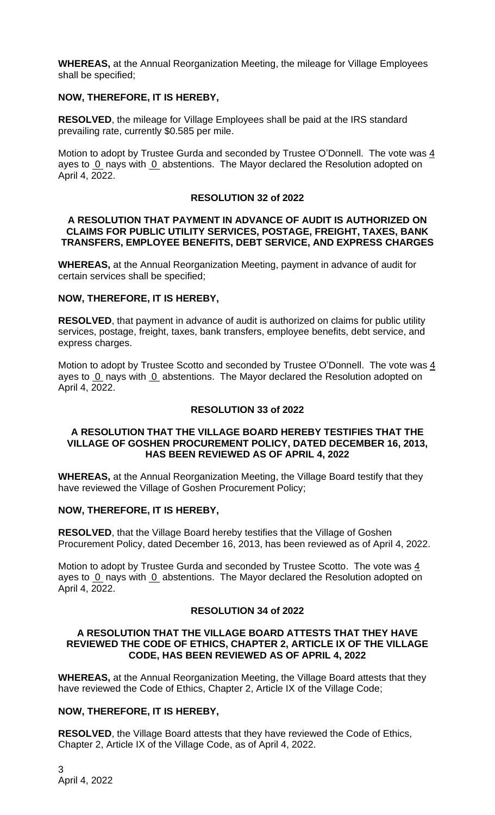**WHEREAS,** at the Annual Reorganization Meeting, the mileage for Village Employees shall be specified;

# **NOW, THEREFORE, IT IS HEREBY,**

**RESOLVED**, the mileage for Village Employees shall be paid at the IRS standard prevailing rate, currently \$0.585 per mile.

Motion to adopt by Trustee Gurda and seconded by Trustee O'Donnell. The vote was 4 ayes to 0 nays with 0 abstentions. The Mayor declared the Resolution adopted on April 4, 2022.

### **RESOLUTION 32 of 2022**

#### **A RESOLUTION THAT PAYMENT IN ADVANCE OF AUDIT IS AUTHORIZED ON CLAIMS FOR PUBLIC UTILITY SERVICES, POSTAGE, FREIGHT, TAXES, BANK TRANSFERS, EMPLOYEE BENEFITS, DEBT SERVICE, AND EXPRESS CHARGES**

**WHEREAS,** at the Annual Reorganization Meeting, payment in advance of audit for certain services shall be specified;

## **NOW, THEREFORE, IT IS HEREBY,**

**RESOLVED**, that payment in advance of audit is authorized on claims for public utility services, postage, freight, taxes, bank transfers, employee benefits, debt service, and express charges.

Motion to adopt by Trustee Scotto and seconded by Trustee O'Donnell. The vote was 4 ayes to 0 nays with 0 abstentions. The Mayor declared the Resolution adopted on April 4, 2022.

# **RESOLUTION 33 of 2022**

## **A RESOLUTION THAT THE VILLAGE BOARD HEREBY TESTIFIES THAT THE VILLAGE OF GOSHEN PROCUREMENT POLICY, DATED DECEMBER 16, 2013, HAS BEEN REVIEWED AS OF APRIL 4, 2022**

**WHEREAS,** at the Annual Reorganization Meeting, the Village Board testify that they have reviewed the Village of Goshen Procurement Policy;

#### **NOW, THEREFORE, IT IS HEREBY,**

**RESOLVED**, that the Village Board hereby testifies that the Village of Goshen Procurement Policy, dated December 16, 2013, has been reviewed as of April 4, 2022.

Motion to adopt by Trustee Gurda and seconded by Trustee Scotto. The vote was  $\frac{4}{5}$ ayes to 0 nays with 0 abstentions. The Mayor declared the Resolution adopted on April 4, 2022.

#### **RESOLUTION 34 of 2022**

#### **A RESOLUTION THAT THE VILLAGE BOARD ATTESTS THAT THEY HAVE REVIEWED THE CODE OF ETHICS, CHAPTER 2, ARTICLE IX OF THE VILLAGE CODE, HAS BEEN REVIEWED AS OF APRIL 4, 2022**

**WHEREAS,** at the Annual Reorganization Meeting, the Village Board attests that they have reviewed the Code of Ethics, Chapter 2, Article IX of the Village Code;

## **NOW, THEREFORE, IT IS HEREBY,**

**RESOLVED**, the Village Board attests that they have reviewed the Code of Ethics, Chapter 2, Article IX of the Village Code, as of April 4, 2022.